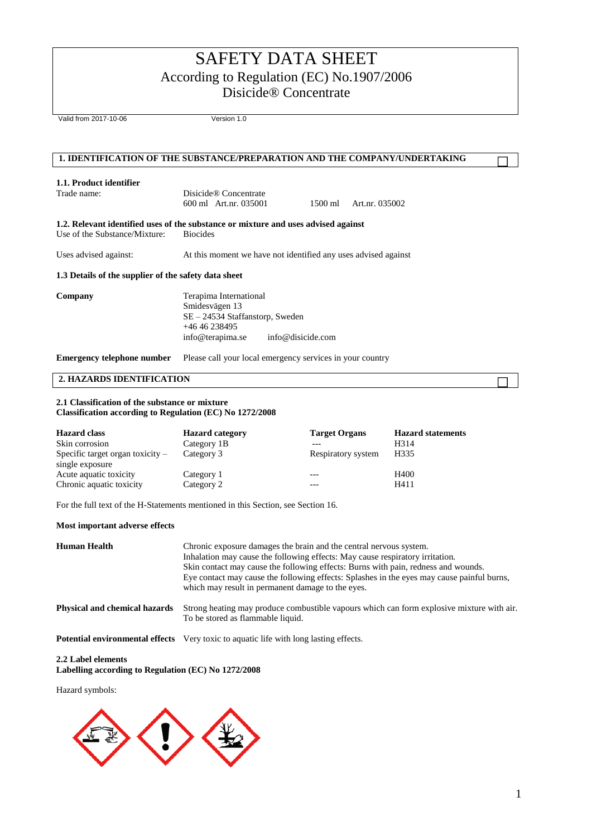Valid from 2017-10-06 Version 1.0

# **1. IDENTIFICATION OF THE SUBSTANCE/PREPARATION AND THE COMPANY/UNDERTAKING**

# **1.1. Product identifier**

Disicide® Concentrate

600 ml Art.nr. 035001 1500 ml Art.nr. 035002

**1.2. Relevant identified uses of the substance or mixture and uses advised against**  Use of the Substance/Mixture: Biocides

Uses advised against: At this moment we have not identified any uses advised against

#### **1.3 Details of the supplier of the safety data sheet**

**Company** Terapima International Smidesvägen 13 SE – 24534 Staffanstorp, Sweden +46 46 238495 info@terapima.se info@disicide.com

**Emergency telephone number** Please call your local emergency services in your country

## **2. HAZARDS IDENTIFICATION**

#### **2.1 Classification of the substance or mixture Classification according to Regulation (EC) No 1272/2008**

| <b>Hazard class</b>                                   | <b>Hazard category</b> | <b>Target Organs</b> | <b>Hazard statements</b> |
|-------------------------------------------------------|------------------------|----------------------|--------------------------|
| Skin corrosion                                        | Category 1B            |                      | H <sub>3</sub> 14        |
| Specific target organ toxicity $-$<br>single exposure | Category 3             | Respiratory system   | H335                     |
| Acute aquatic toxicity                                | Category 1             | $- - -$              | H400                     |
| Chronic aquatic toxicity                              | Category 2             |                      | H411                     |

For the full text of the H-Statements mentioned in this Section, see Section 16.

#### **Most important adverse effects**

| <b>Human Health</b>                  | Chronic exposure damages the brain and the central nervous system.<br>Inhalation may cause the following effects: May cause respiratory irritation.<br>Skin contact may cause the following effects: Burns with pain, redness and wounds.<br>Eye contact may cause the following effects: Splashes in the eyes may cause painful burns,<br>which may result in permanent damage to the eyes. |
|--------------------------------------|----------------------------------------------------------------------------------------------------------------------------------------------------------------------------------------------------------------------------------------------------------------------------------------------------------------------------------------------------------------------------------------------|
| <b>Physical and chemical hazards</b> | Strong heating may produce combustible vapours which can form explosive mixture with air.<br>To be stored as flammable liquid.                                                                                                                                                                                                                                                               |
|                                      | <b>Potential environmental effects</b> Very toxic to aquatic life with long lasting effects.                                                                                                                                                                                                                                                                                                 |

#### **2.2 Label elements**

**Labelling according to Regulation (EC) No 1272/2008** 

Hazard symbols:

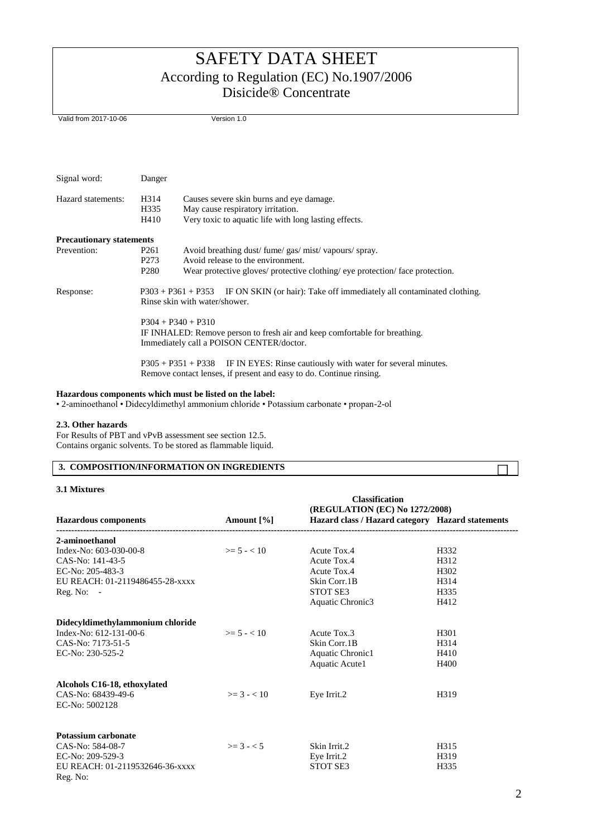Valid from 2017-10-06 Version 1.0

| Signal word:                    | Danger                                                   |                                                                                                                                                                         |
|---------------------------------|----------------------------------------------------------|-------------------------------------------------------------------------------------------------------------------------------------------------------------------------|
| Hazard statements:              | H314<br>H335<br>H410                                     | Causes severe skin burns and eye damage.<br>May cause respiratory irritation.<br>Very toxic to aquatic life with long lasting effects.                                  |
| <b>Precautionary statements</b> |                                                          |                                                                                                                                                                         |
| Prevention:                     | P <sub>261</sub><br>P <sub>273</sub><br>P <sub>280</sub> | Avoid breathing dust/fume/gas/mist/vapours/spray.<br>Avoid release to the environment.<br>Wear protective gloves/ protective clothing/ eye protection/ face protection. |
| Response:                       |                                                          | $P303 + P361 + P353$ IF ON SKIN (or hair): Take off immediately all contaminated clothing.<br>Rinse skin with water/shower.                                             |
|                                 |                                                          | $P304 + P340 + P310$<br>IF INHALED: Remove person to fresh air and keep comfortable for breathing.<br>Immediately call a POISON CENTER/doctor.                          |
|                                 |                                                          | P305 + P351 + P338 IF IN EYES: Rinse cautiously with water for several minutes.<br>Remove contact lenses, if present and easy to do. Continue rinsing.                  |

# **Hazardous components which must be listed on the label:**

• 2-aminoethanol • Didecyldimethyl ammonium chloride • Potassium carbonate • propan-2-ol

#### **2.3. Other hazards**

For Results of PBT and vPvB assessment see section 12.5. Contains organic solvents. To be stored as flammable liquid.

# **3. COMPOSITION/INFORMATION ON INGREDIENTS**

### **3.1 Mixtures**

|                                  |                 | <b>Classification</b><br>(REGULATION (EC) No 1272/2008) |                  |
|----------------------------------|-----------------|---------------------------------------------------------|------------------|
| <b>Hazardous components</b>      | Amount [%]      | Hazard class / Hazard category Hazard statements        |                  |
| 2-aminoethanol                   |                 |                                                         |                  |
| Index-No: 603-030-00-8           | $\geq 5 - 10$   | Acute Tox.4                                             | H332             |
| CAS-No: 141-43-5                 |                 | Acute Tox.4                                             | H312             |
| EC-No: 205-483-3                 |                 | Acute Tox.4                                             | H <sub>302</sub> |
| EU REACH: 01-2119486455-28-xxxx  |                 | Skin Corr.1B                                            | H314             |
| $Reg. No: -$                     |                 | <b>STOT SE3</b>                                         | H335             |
|                                  |                 | Aquatic Chronic3                                        | H412             |
| Didecyldimethylammonium chloride |                 |                                                         |                  |
| Index-No: 612-131-00-6           | $\geq 5 - 10$   | Acute Tox.3                                             | H <sub>301</sub> |
| CAS-No: 7173-51-5                |                 | Skin Corr.1B                                            | H314             |
| EC-No: 230-525-2                 |                 | Aquatic Chronic1                                        | H410             |
|                                  |                 | Aquatic Acute1                                          | H400             |
| Alcohols C16-18, ethoxylated     |                 |                                                         |                  |
| CAS-No: 68439-49-6               | $\geq$ 3 - < 10 | Eye Irrit.2                                             | H319             |
| EC-No: 5002128                   |                 |                                                         |                  |
| <b>Potassium carbonate</b>       |                 |                                                         |                  |
| CAS-No: 584-08-7                 | $>= 3 - < 5$    | Skin Irrit.2                                            | H315             |
| EC-No: 209-529-3                 |                 | Eye Irrit.2                                             | H319             |
| EU REACH: 01-2119532646-36-xxxx  |                 | STOT SE3                                                | H335             |
| Reg. No:                         |                 |                                                         |                  |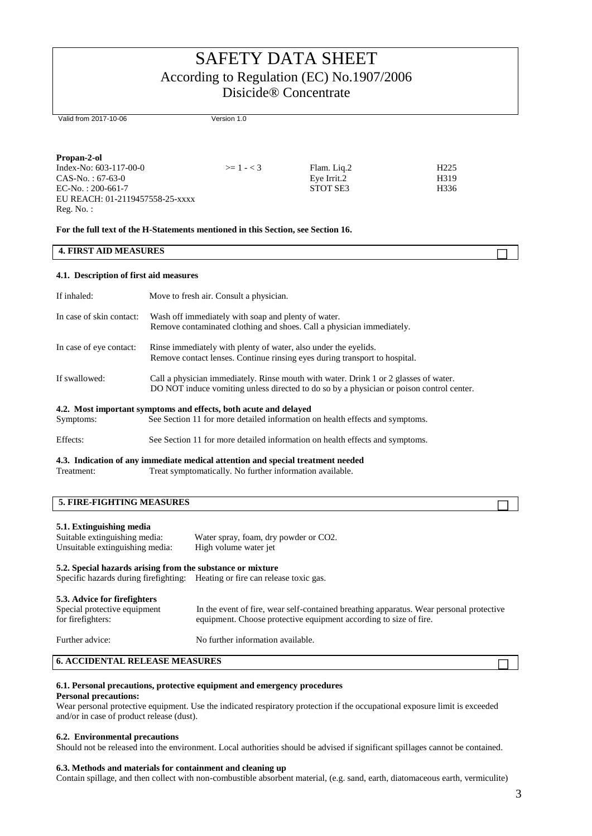Valid from 2017-10-06 Version 1.0

| Propan-2-ol                     |                |             |                  |
|---------------------------------|----------------|-------------|------------------|
| Index-No: $603-117-00-0$        | $\geq$ 1 - < 3 | Flam. Lig.2 | H <sub>225</sub> |
| $CAS-No. : 67-63-0$             |                | Eye Irrit.2 | H319             |
| $EC-No. : 200-661-7$            |                | STOT SE3    | H336             |
| EU REACH: 01-2119457558-25-xxxx |                |             |                  |
| $Reg. No.$ :                    |                |             |                  |

#### **For the full text of the H-Statements mentioned in this Section, see Section 16.**

### **4. FIRST AID MEASURES**

#### **4.1. Description of first aid measures**

| If inhaled:              | Move to fresh air. Consult a physician.                                                                                                                                          |
|--------------------------|----------------------------------------------------------------------------------------------------------------------------------------------------------------------------------|
| In case of skin contact: | Wash off immediately with soap and plenty of water.<br>Remove contaminated clothing and shoes. Call a physician immediately.                                                     |
| In case of eye contact:  | Rinse immediately with plenty of water, also under the eyelids.<br>Remove contact lenses. Continue ringing eyes during transport to hospital.                                    |
| If swallowed:            | Call a physician immediately. Rinse mouth with water. Drink 1 or 2 glasses of water.<br>DO NOT induce vomiting unless directed to do so by a physician or poison control center. |
| Symptoms:                | 4.2. Most important symptoms and effects, both acute and delayed<br>See Section 11 for more detailed information on health effects and symptoms.                                 |
|                          |                                                                                                                                                                                  |

#### Effects: See Section 11 for more detailed information on health effects and symptoms.

#### **4.3. Indication of any immediate medical attention and special treatment needed**  Treatment: Treat symptomatically. No further information available.

## **5. FIRE-FIGHTING MEASURES**

### **5.1. Extinguishing media**

# Suitable extinguishing media: Water spray, foam, dry powder or CO2.<br>Unsuitable extinguishing media: High volume water jet Unsuitable extinguishing media:

#### **5.2. Special hazards arising from the substance or mixture**

Specific hazards during firefighting: Heating or fire can release toxic gas.

#### **5.3. Advice for firefighters**

| <b>3.3. Auvice for in change</b><br>Special protective equipment<br>for firefighters: | In the event of fire, wear self-contained breathing apparatus. Wear personal protective<br>equipment. Choose protective equipment according to size of fire. |
|---------------------------------------------------------------------------------------|--------------------------------------------------------------------------------------------------------------------------------------------------------------|
| Further advice:                                                                       | No further information available.                                                                                                                            |

### **6. ACCIDENTAL RELEASE MEASURES**

## **6.1. Personal precautions, protective equipment and emergency procedures**

### **Personal precautions:**

Wear personal protective equipment. Use the indicated respiratory protection if the occupational exposure limit is exceeded and/or in case of product release (dust).

#### **6.2. Environmental precautions**

Should not be released into the environment. Local authorities should be advised if significant spillages cannot be contained.

#### **6.3. Methods and materials for containment and cleaning up**

Contain spillage, and then collect with non-combustible absorbent material, (e.g. sand, earth, diatomaceous earth, vermiculite)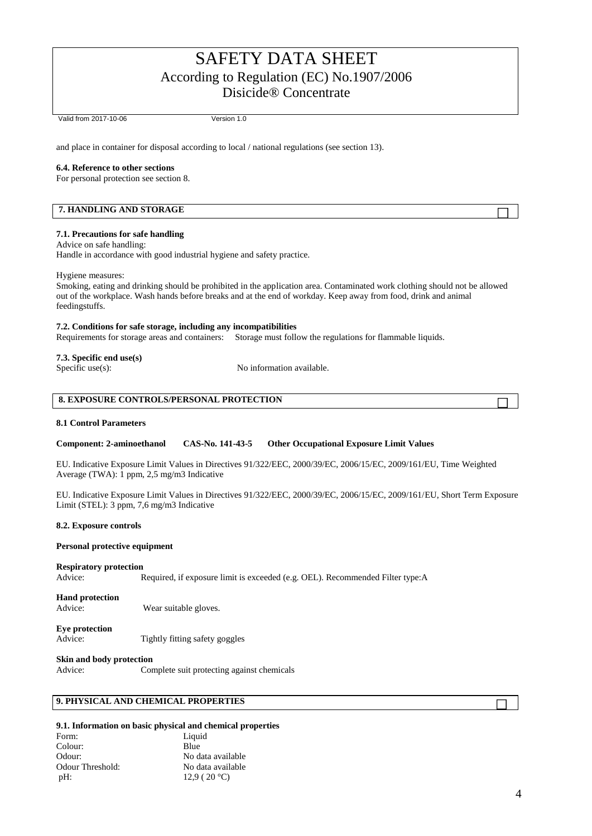Valid from 2017-10-06 Version 1.0

and place in container for disposal according to local / national regulations (see section 13).

#### **6.4. Reference to other sections**

For personal protection see section 8.

### **7. HANDLING AND STORAGE**

#### **7.1. Precautions for safe handling**

Advice on safe handling: Handle in accordance with good industrial hygiene and safety practice.

#### Hygiene measures:

Smoking, eating and drinking should be prohibited in the application area. Contaminated work clothing should not be allowed out of the workplace. Wash hands before breaks and at the end of workday. Keep away from food, drink and animal feedingstuffs.

#### **7.2. Conditions for safe storage, including any incompatibilities**

Requirements for storage areas and containers: Storage must follow the regulations for flammable liquids.

# **7.3. Specific end use(s)**

No information available.

| <b>8. EXPOSURE CONTROLS/PERSONAL PROTECTION</b> |  |
|-------------------------------------------------|--|

#### **8.1 Control Parameters**

#### **Component: 2-aminoethanol CAS-No. 141-43-5 Other Occupational Exposure Limit Values**

EU. Indicative Exposure Limit Values in Directives 91/322/EEC, 2000/39/EC, 2006/15/EC, 2009/161/EU, Time Weighted Average (TWA): 1 ppm, 2,5 mg/m3 Indicative

EU. Indicative Exposure Limit Values in Directives 91/322/EEC, 2000/39/EC, 2006/15/EC, 2009/161/EU, Short Term Exposure Limit (STEL): 3 ppm, 7,6 mg/m3 Indicative

#### **8.2. Exposure controls**

#### **Personal protective equipment**

#### **Respiratory protection**

Advice: Required, if exposure limit is exceeded (e.g. OEL). Recommended Filter type:A

## **Hand protection**

Advice: Wear suitable gloves.

## **Eye protection**

Advice: Tightly fitting safety goggles

### **Skin and body protection**

Advice: Complete suit protecting against chemicals

# **9. PHYSICAL AND CHEMICAL PROPERTIES**

# **9.1. Information on basic physical and chemical properties**

| Form:            | Liquid            |
|------------------|-------------------|
| Colour:          | Blue              |
| Odour:           | No data available |
| Odour Threshold: | No data available |
| $pH$ :           | 12.9 (20 °C)      |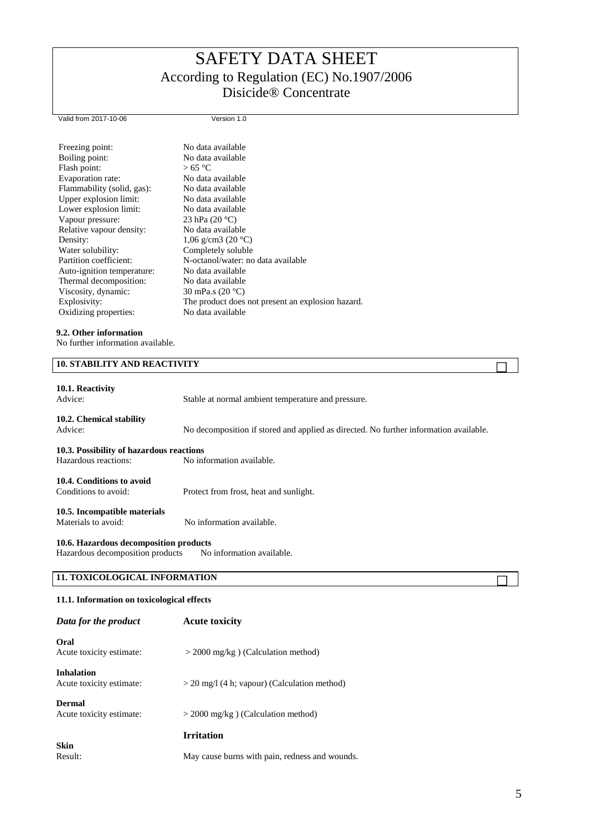Valid from 2017-10-06 Version 1.0

| Freezing point:            | No data available                                 |
|----------------------------|---------------------------------------------------|
| Boiling point:             | No data available                                 |
| Flash point:               | >65 °C                                            |
| Evaporation rate:          | No data available                                 |
| Flammability (solid, gas): | No data available                                 |
| Upper explosion limit:     | No data available                                 |
| Lower explosion limit:     | No data available                                 |
| Vapour pressure:           | 23 hPa $(20 °C)$                                  |
| Relative vapour density:   | No data available                                 |
| Density:                   | 1,06 g/cm3 (20 $^{\circ}$ C)                      |
| Water solubility:          | Completely soluble                                |
| Partition coefficient:     | N-octanol/water: no data available                |
| Auto-ignition temperature: | No data available                                 |
| Thermal decomposition:     | No data available                                 |
| Viscosity, dynamic:        | 30 mPa.s $(20 °C)$                                |
| Explosivity:               | The product does not present an explosion hazard. |
| Oxidizing properties:      | No data available                                 |
|                            |                                                   |

## **9.2. Other information**

No further information available.

| 10.1. Reactivity<br>Advice:                                      | Stable at normal ambient temperature and pressure.                                    |  |
|------------------------------------------------------------------|---------------------------------------------------------------------------------------|--|
| 10.2. Chemical stability<br>Advice:                              | No decomposition if stored and applied as directed. No further information available. |  |
| 10.3. Possibility of hazardous reactions<br>Hazardous reactions: | No information available.                                                             |  |
| 10.4. Conditions to avoid<br>Conditions to avoid:                | Protect from frost, heat and sunlight.                                                |  |
| 10.5. Incompatible materials<br>Materials to avoid:              | No information available.                                                             |  |
| 10.6. Hazardous decomposition products                           |                                                                                       |  |

Hazardous decomposition products No information available.

# **11. TOXICOLOGICAL INFORMATION**

# **11.1. Information on toxicological effects**

| Data for the product                          | <b>Acute toxicity</b>                          |
|-----------------------------------------------|------------------------------------------------|
| Oral<br>Acute toxicity estimate:              | $>$ 2000 mg/kg) (Calculation method)           |
| <b>Inhalation</b><br>Acute toxicity estimate: | $>$ 20 mg/l (4 h; vapour) (Calculation method) |
| <b>Dermal</b><br>Acute toxicity estimate:     | $>$ 2000 mg/kg ) (Calculation method)          |
|                                               | <b>Irritation</b>                              |
|                                               |                                                |
| <b>Skin</b><br>Result:                        | May cause burns with pain, redness and wounds. |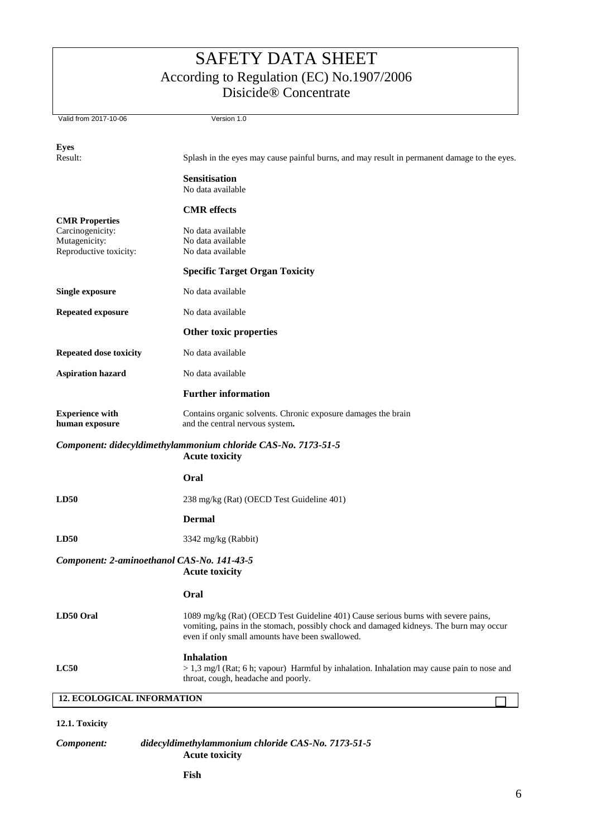| Valid from 2017-10-06                                                                  | Version 1.0                                                                                                                                                                                                                    |  |
|----------------------------------------------------------------------------------------|--------------------------------------------------------------------------------------------------------------------------------------------------------------------------------------------------------------------------------|--|
| <b>Eyes</b>                                                                            |                                                                                                                                                                                                                                |  |
| Result:                                                                                | Splash in the eyes may cause painful burns, and may result in permanent damage to the eyes.                                                                                                                                    |  |
|                                                                                        | <b>Sensitisation</b><br>No data available                                                                                                                                                                                      |  |
|                                                                                        | <b>CMR</b> effects                                                                                                                                                                                                             |  |
| <b>CMR Properties</b><br>Carcinogenicity:<br>Mutagenicity:<br>Reproductive toxicity:   | No data available<br>No data available<br>No data available                                                                                                                                                                    |  |
|                                                                                        | <b>Specific Target Organ Toxicity</b>                                                                                                                                                                                          |  |
| <b>Single exposure</b>                                                                 | No data available                                                                                                                                                                                                              |  |
| <b>Repeated exposure</b>                                                               | No data available                                                                                                                                                                                                              |  |
|                                                                                        | Other toxic properties                                                                                                                                                                                                         |  |
| <b>Repeated dose toxicity</b>                                                          | No data available                                                                                                                                                                                                              |  |
| <b>Aspiration hazard</b>                                                               | No data available                                                                                                                                                                                                              |  |
|                                                                                        | <b>Further information</b>                                                                                                                                                                                                     |  |
| <b>Experience with</b><br>human exposure                                               | Contains organic solvents. Chronic exposure damages the brain<br>and the central nervous system.                                                                                                                               |  |
| Component: didecyldimethylammonium chloride CAS-No. 7173-51-5<br><b>Acute toxicity</b> |                                                                                                                                                                                                                                |  |
|                                                                                        | Oral                                                                                                                                                                                                                           |  |
| LD50                                                                                   | 238 mg/kg (Rat) (OECD Test Guideline 401)                                                                                                                                                                                      |  |
|                                                                                        | <b>Dermal</b>                                                                                                                                                                                                                  |  |
| LD50                                                                                   | 3342 mg/kg (Rabbit)                                                                                                                                                                                                            |  |
| Component: 2-aminoethanol CAS-No. 141-43-5<br><b>Acute toxicity</b>                    |                                                                                                                                                                                                                                |  |
|                                                                                        | Oral                                                                                                                                                                                                                           |  |
| LD50 Oral                                                                              | 1089 mg/kg (Rat) (OECD Test Guideline 401) Cause serious burns with severe pains,<br>vomiting, pains in the stomach, possibly chock and damaged kidneys. The burn may occur<br>even if only small amounts have been swallowed. |  |
| LC50                                                                                   | <b>Inhalation</b><br>$> 1.3$ mg/l (Rat; 6 h; vapour) Harmful by inhalation. Inhalation may cause pain to nose and<br>throat, cough, headache and poorly.                                                                       |  |
| <b>12. ECOLOGICAL INFORMATION</b>                                                      |                                                                                                                                                                                                                                |  |
| 12.1. Toxicity                                                                         |                                                                                                                                                                                                                                |  |

*Component: didecyldimethylammonium chloride CAS-No. 7173-51-5* **Acute toxicity**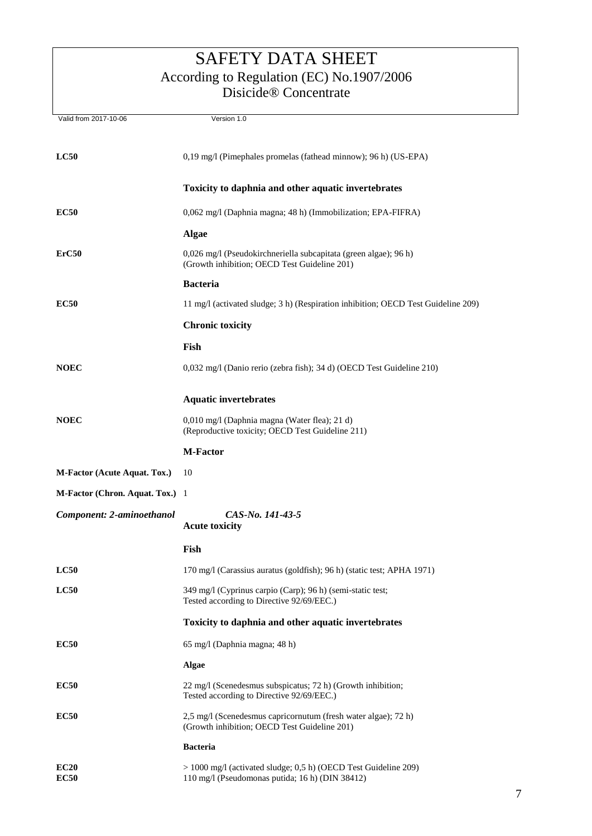| Valid from 2017-10-06           | Version 1.0                                                                                                        |
|---------------------------------|--------------------------------------------------------------------------------------------------------------------|
| $_{\rm LC50}$                   | 0,19 mg/l (Pimephales promelas (fathead minnow); 96 h) (US-EPA)                                                    |
|                                 | Toxicity to daphnia and other aquatic invertebrates                                                                |
| <b>EC50</b>                     | 0,062 mg/l (Daphnia magna; 48 h) (Immobilization; EPA-FIFRA)                                                       |
|                                 | <b>Algae</b>                                                                                                       |
| ErC50                           | 0,026 mg/l (Pseudokirchneriella subcapitata (green algae); 96 h)<br>(Growth inhibition; OECD Test Guideline 201)   |
|                                 | <b>Bacteria</b>                                                                                                    |
| <b>EC50</b>                     | 11 mg/l (activated sludge; 3 h) (Respiration inhibition; OECD Test Guideline 209)                                  |
|                                 | <b>Chronic toxicity</b>                                                                                            |
|                                 | Fish                                                                                                               |
| <b>NOEC</b>                     | 0,032 mg/l (Danio rerio (zebra fish); 34 d) (OECD Test Guideline 210)                                              |
|                                 | <b>Aquatic invertebrates</b>                                                                                       |
| <b>NOEC</b>                     | 0,010 mg/l (Daphnia magna (Water flea); 21 d)<br>(Reproductive toxicity; OECD Test Guideline 211)                  |
|                                 | <b>M-Factor</b>                                                                                                    |
| M-Factor (Acute Aquat. Tox.)    | 10                                                                                                                 |
| M-Factor (Chron. Aquat. Tox.) 1 |                                                                                                                    |
| Component: 2-aminoethanol       | CAS-No. 141-43-5<br><b>Acute toxicity</b>                                                                          |
|                                 | Fish                                                                                                               |
| LC50                            | 170 mg/l (Carassius auratus (goldfish); 96 h) (static test; APHA 1971)                                             |
| LC50                            | 349 mg/l (Cyprinus carpio (Carp); 96 h) (semi-static test;<br>Tested according to Directive 92/69/EEC.)            |
|                                 | Toxicity to daphnia and other aquatic invertebrates                                                                |
| <b>EC50</b>                     | 65 mg/l (Daphnia magna; 48 h)                                                                                      |
|                                 | Algae                                                                                                              |
| <b>EC50</b>                     | 22 mg/l (Scenedesmus subspicatus; 72 h) (Growth inhibition;<br>Tested according to Directive 92/69/EEC.)           |
| <b>EC50</b>                     | 2,5 mg/l (Scenedesmus capricornutum (fresh water algae); 72 h)<br>(Growth inhibition; OECD Test Guideline 201)     |
|                                 | <b>Bacteria</b>                                                                                                    |
| EC20<br><b>EC50</b>             | > 1000 mg/l (activated sludge; 0,5 h) (OECD Test Guideline 209)<br>110 mg/l (Pseudomonas putida; 16 h) (DIN 38412) |
|                                 |                                                                                                                    |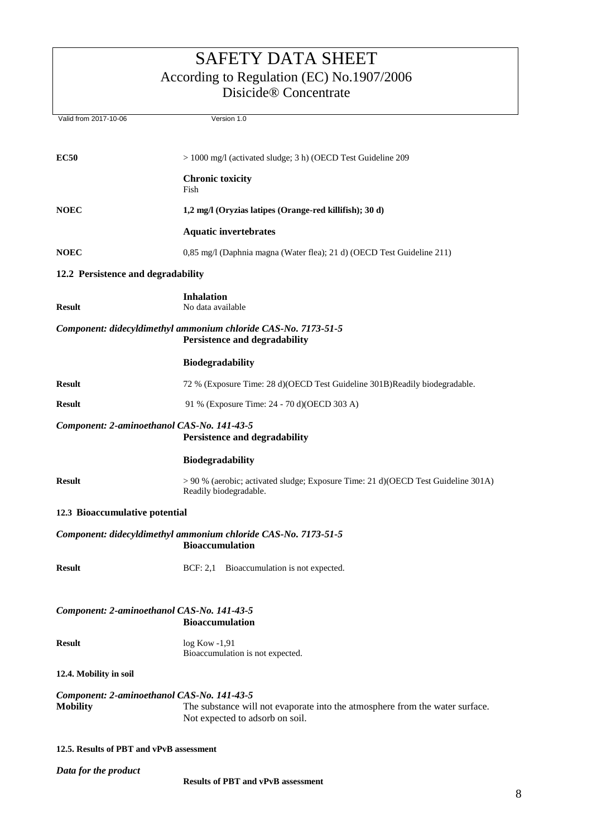Valid from 2017-10-06 Version 1.0

**EC50** > 1000 mg/l (activated sludge; 3 h) (OECD Test Guideline 209 **Chronic toxicity** Fish **NOEC 1,2 mg/l (Oryzias latipes (Orange-red killifish); 30 d) Aquatic invertebrates NOEC** 0,85 mg/l (Daphnia magna (Water flea); 21 d) (OECD Test Guideline 211) **12.2 Persistence and degradability Inhalation Result** No data available *Component: didecyldimethyl ammonium chloride CAS-No. 7173-51-5* **Persistence and degradability Biodegradability Result** 72 % (Exposure Time: 28 d)(OECD Test Guideline 301B)Readily biodegradable. **Result** 91 % (Exposure Time: 24 - 70 d)(OECD 303 A) *Component: 2-aminoethanol CAS-No. 141-43-5* **Persistence and degradability Biodegradability Result** > 90 % (aerobic; activated sludge; Exposure Time: 21 d)(OECD Test Guideline 301A) Readily biodegradable. **12.3 Bioaccumulative potential** *Component: didecyldimethyl ammonium chloride CAS-No. 7173-51-5* **Bioaccumulation Result BCF: 2,1** Bioaccumulation is not expected. *Component: 2-aminoethanol CAS-No. 141-43-5* **Bioaccumulation Result** log Kow -1,91 Bioaccumulation is not expected. **12.4. Mobility in soil** *Component: 2-aminoethanol CAS-No. 141-43-5* **Mobility** The substance will not evaporate into the atmosphere from the water surface. Not expected to adsorb on soil. **12.5. Results of PBT and vPvB assessment**

*Data for the product*

**Results of PBT and vPvB assessment**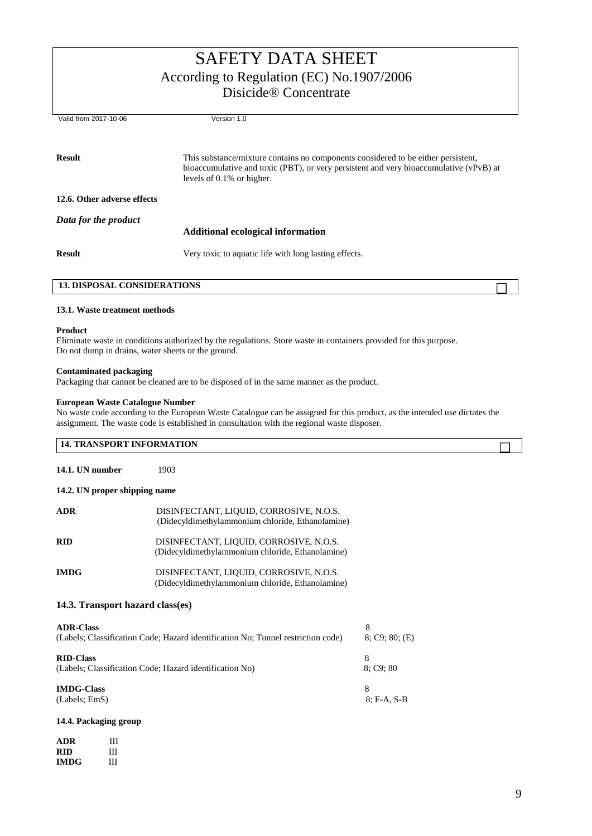| Valid from 2017-10-06       | Version 1.0                                                                                                                                                                                                 |
|-----------------------------|-------------------------------------------------------------------------------------------------------------------------------------------------------------------------------------------------------------|
| <b>Result</b>               | This substance/mixture contains no components considered to be either persistent,<br>bioaccumulative and toxic (PBT), or very persistent and very bioaccumulative (vPvB) at<br>levels of $0.1\%$ or higher. |
| 12.6. Other adverse effects |                                                                                                                                                                                                             |
| Data for the product        |                                                                                                                                                                                                             |
|                             | <b>Additional ecological information</b>                                                                                                                                                                    |
| <b>Result</b>               | Very toxic to aquatic life with long lasting effects.                                                                                                                                                       |
|                             |                                                                                                                                                                                                             |

## **13.1. Waste treatment methods**

### **Product**

Eliminate waste in conditions authorized by the regulations. Store waste in containers provided for this purpose. Do not dump in drains, water sheets or the ground.

### **Contaminated packaging**

Packaging that cannot be cleaned are to be disposed of in the same manner as the product.

## **European Waste Catalogue Number**

No waste code according to the European Waste Catalogue can be assigned for this product, as the intended use dictates the assignment. The waste code is established in consultation with the regional waste disposer.

| <b>14. TRANSPORT INFORMATION</b>                                            |                                                                                             |                     |  |
|-----------------------------------------------------------------------------|---------------------------------------------------------------------------------------------|---------------------|--|
| 14.1. UN number                                                             | 1903                                                                                        |                     |  |
| 14.2. UN proper shipping name                                               |                                                                                             |                     |  |
| <b>ADR</b>                                                                  | DISINFECTANT, LIQUID, CORROSIVE, N.O.S.<br>(Didecyldimethylammonium chloride, Ethanolamine) |                     |  |
| <b>RID</b>                                                                  | DISINFECTANT, LIQUID, CORROSIVE, N.O.S.<br>(Didecyldimethylammonium chloride, Ethanolamine) |                     |  |
| <b>IMDG</b>                                                                 | DISINFECTANT, LIQUID, CORROSIVE, N.O.S.<br>(Didecyldimethylammonium chloride, Ethanolamine) |                     |  |
| 14.3. Transport hazard class(es)                                            |                                                                                             |                     |  |
| <b>ADR-Class</b>                                                            | (Labels; Classification Code; Hazard identification No; Tunnel restriction code)            | 8<br>8; C9; 80; (E) |  |
| <b>RID-Class</b><br>(Labels; Classification Code; Hazard identification No) |                                                                                             | 8<br>8; C9; 80      |  |
| <b>IMDG-Class</b><br>(Labels; EmS)                                          |                                                                                             | 8<br>8; F-A, S-B    |  |

### **14.4. Packaging group**

| ADR         | Ш |
|-------------|---|
| RID         | ш |
| <b>IMDG</b> | Ш |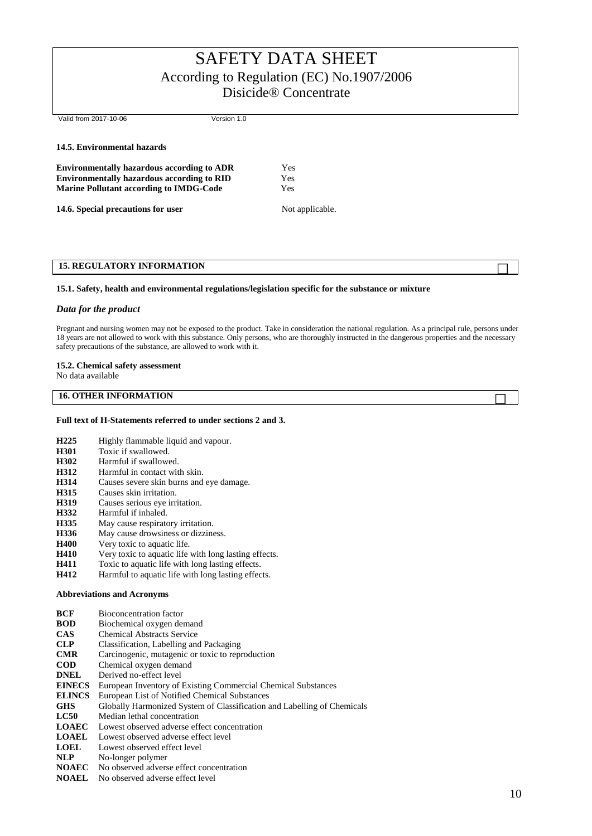Valid from 2017-10-06 Version 1.0

#### **14.5. Environmental hazards**

**Environmentally hazardous according to ADR** Yes **Environmentally hazardous according to RID** Yes **Marine Pollutant according to IMDG-Code** Yes

**14.6. Special precautions for user** Not applicable.

# **15. REGULATORY INFORMATION**

#### **15.1. Safety, health and environmental regulations/legislation specific for the substance or mixture**

#### *Data for the product*

Pregnant and nursing women may not be exposed to the product. Take in consideration the national regulation. As a principal rule, persons under 18 years are not allowed to work with this substance. Only persons, who are thoroughly instructed in the dangerous properties and the necessary safety precautions of the substance, are allowed to work with it.

#### **15.2. Chemical safety assessment**

No data available

## **16. OTHER INFORMATION**

### **Full text of H-Statements referred to under sections 2 and 3.**

- **H225** Highly flammable liquid and vapour.
- **H301** Toxic if swallowed.
- **H302** Harmful if swallowed.<br>**H312** Harmful in contact with
- **H312** Harmful in contact with skin.
- **H314** Causes severe skin burns and eye damage.
- **H315** Causes skin irritation.<br>**H319** Causes serious eve irr
- Causes serious eye irritation.
- **H332** Harmful if inhaled.
- **H335** May cause respiratory irritation.
- **H336** May cause drowsiness or dizziness.
- **H400** Very toxic to aquatic life.
- **H410** Very toxic to aquatic life with long lasting effects.
- **H411** Toxic to aquatic life with long lasting effects.
- **H412** Harmful to aquatic life with long lasting effects.

### **Abbreviations and Acronyms**

- **BCF** Bioconcentration factor
- **BOD** Biochemical oxygen demand
- **CAS** Chemical Abstracts Service
- **CLP** Classification, Labelling and Packaging
- **CMR** Carcinogenic, mutagenic or toxic to reproduction
- **COD** Chemical oxygen demand
- **DNEL** Derived no-effect level
- **EINECS** European Inventory of Existing Commercial Chemical Substances
- **ELINCS** European List of Notified Chemical Substances
- **GHS** Globally Harmonized System of Classification and Labelling of Chemicals
- **LC50** Median lethal concentration
- **LOAEC** Lowest observed adverse effect concentration
- **LOAEL** Lowest observed adverse effect level
- **LOEL** Lowest observed effect level
- **NLP** No-longer polymer
- **NOAEC** No observed adverse effect concentration
- **NOAEL** No observed adverse effect level